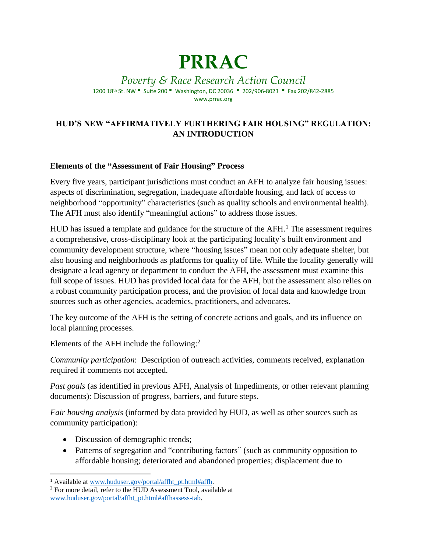# **PRRAC**

*Poverty & Race Research Action Council* 1200 18th St. NW • Suite 200 • Washington, DC 20036 • 202/906-8023 • Fax 202/842-2885 www.prrac.org

## **HUD'S NEW "AFFIRMATIVELY FURTHERING FAIR HOUSING" REGULATION: AN INTRODUCTION**

#### **Elements of the "Assessment of Fair Housing" Process**

Every five years, participant jurisdictions must conduct an AFH to analyze fair housing issues: aspects of discrimination, segregation, inadequate affordable housing, and lack of access to neighborhood "opportunity" characteristics (such as quality schools and environmental health). The AFH must also identify "meaningful actions" to address those issues.

HUD has issued a template and guidance for the structure of the  $AFH<sup>1</sup>$ . The assessment requires a comprehensive, cross-disciplinary look at the participating locality's built environment and community development structure, where "housing issues" mean not only adequate shelter, but also housing and neighborhoods as platforms for quality of life. While the locality generally will designate a lead agency or department to conduct the AFH, the assessment must examine this full scope of issues. HUD has provided local data for the AFH, but the assessment also relies on a robust community participation process, and the provision of local data and knowledge from sources such as other agencies, academics, practitioners, and advocates.

The key outcome of the AFH is the setting of concrete actions and goals, and its influence on local planning processes.

Elements of the AFH include the following:<sup>2</sup>

*Community participation*: Description of outreach activities, comments received, explanation required if comments not accepted.

*Past goals* (as identified in previous AFH, Analysis of Impediments, or other relevant planning documents): Discussion of progress, barriers, and future steps.

*Fair housing analysis* (informed by data provided by HUD, as well as other sources such as community participation):

- Discussion of demographic trends;
- Patterns of segregation and "contributing factors" (such as community opposition to affordable housing; deteriorated and abandoned properties; displacement due to

 $\overline{\phantom{a}}$ <sup>1</sup> Available at [www.huduser.gov/portal/affht\\_pt.html#affh.](http://www.huduser.gov/portal/affht_pt.html#affh)

<sup>2</sup> For more detail, refer to the HUD Assessment Tool, available at [www.huduser.gov/portal/affht\\_pt.html#affhassess-tab.](http://www.huduser.gov/portal/affht_pt.html#affhassess-tab)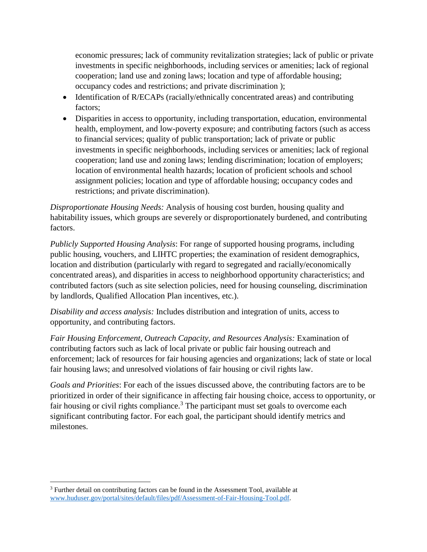economic pressures; lack of community revitalization strategies; lack of public or private investments in specific neighborhoods, including services or amenities; lack of regional cooperation; land use and zoning laws; location and type of affordable housing; occupancy codes and restrictions; and private discrimination );

- Identification of R/ECAPs (racially/ethnically concentrated areas) and contributing factors;
- Disparities in access to opportunity, including transportation, education, environmental health, employment, and low-poverty exposure; and contributing factors (such as access to financial services; quality of public transportation; lack of private or public investments in specific neighborhoods, including services or amenities; lack of regional cooperation; land use and zoning laws; lending discrimination; location of employers; location of environmental health hazards; location of proficient schools and school assignment policies; location and type of affordable housing; occupancy codes and restrictions; and private discrimination).

*Disproportionate Housing Needs:* Analysis of housing cost burden, housing quality and habitability issues, which groups are severely or disproportionately burdened, and contributing factors.

*Publicly Supported Housing Analysis*: For range of supported housing programs, including public housing, vouchers, and LIHTC properties; the examination of resident demographics, location and distribution (particularly with regard to segregated and racially/economically concentrated areas), and disparities in access to neighborhood opportunity characteristics; and contributed factors (such as site selection policies, need for housing counseling, discrimination by landlords, Qualified Allocation Plan incentives, etc.).

*Disability and access analysis:* Includes distribution and integration of units, access to opportunity, and contributing factors.

*Fair Housing Enforcement, Outreach Capacity, and Resources Analysis:* Examination of contributing factors such as lack of local private or public fair housing outreach and enforcement; lack of resources for fair housing agencies and organizations; lack of state or local fair housing laws; and unresolved violations of fair housing or civil rights law.

*Goals and Priorities*: For each of the issues discussed above, the contributing factors are to be prioritized in order of their significance in affecting fair housing choice, access to opportunity, or fair housing or civil rights compliance.<sup>3</sup> The participant must set goals to overcome each significant contributing factor. For each goal, the participant should identify metrics and milestones.

 $\overline{\phantom{a}}$ 

<sup>&</sup>lt;sup>3</sup> Further detail on contributing factors can be found in the Assessment Tool, available at [www.huduser.gov/portal/sites/default/files/pdf/Assessment-of-Fair-Housing-Tool.pdf.](http://www.huduser.gov/portal/sites/default/files/pdf/Assessment-of-Fair-Housing-Tool.pdf)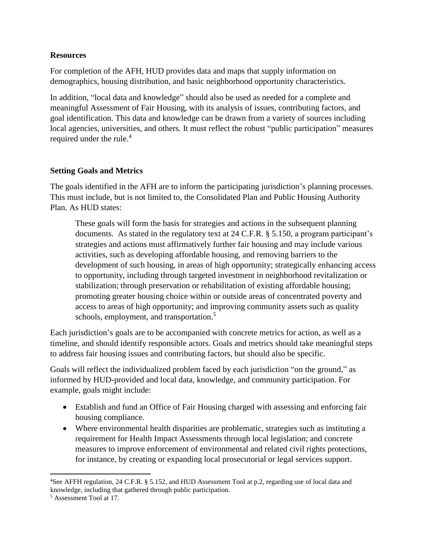#### **Resources**

For completion of the AFH, HUD provides data and maps that supply information on demographics, housing distribution, and basic neighborhood opportunity characteristics.

In addition, "local data and knowledge" should also be used as needed for a complete and meaningful Assessment of Fair Housing, with its analysis of issues, contributing factors, and goal identification. This data and knowledge can be drawn from a variety of sources including local agencies, universities, and others. It must reflect the robust "public participation" measures required under the rule. 4

### **Setting Goals and Metrics**

The goals identified in the AFH are to inform the participating jurisdiction's planning processes. This must include, but is not limited to, the Consolidated Plan and Public Housing Authority Plan. As HUD states:

These goals will form the basis for strategies and actions in the subsequent planning documents. As stated in the regulatory text at 24 C.F.R. § 5.150, a program participant's strategies and actions must affirmatively further fair housing and may include various activities, such as developing affordable housing, and removing barriers to the development of such housing, in areas of high opportunity; strategically enhancing access to opportunity, including through targeted investment in neighborhood revitalization or stabilization; through preservation or rehabilitation of existing affordable housing; promoting greater housing choice within or outside areas of concentrated poverty and access to areas of high opportunity; and improving community assets such as quality schools, employment, and transportation.<sup>5</sup>

Each jurisdiction's goals are to be accompanied with concrete metrics for action, as well as a timeline, and should identify responsible actors. Goals and metrics should take meaningful steps to address fair housing issues and contributing factors, but should also be specific.

Goals will reflect the individualized problem faced by each jurisdiction "on the ground," as informed by HUD-provided and local data, knowledge, and community participation. For example, goals might include:

- Establish and fund an Office of Fair Housing charged with assessing and enforcing fair housing compliance.
- Where environmental health disparities are problematic, strategies such as instituting a requirement for Health Impact Assessments through local legislation; and concrete measures to improve enforcement of environmental and related civil rights protections, for instance, by creating or expanding local prosecutorial or legal services support.

 $\overline{\phantom{a}}$ <sup>4</sup>See AFFH regulation, 24 C.F.R. § 5.152, and HUD Assessment Tool at p.2, regarding use of local data and knowledge, including that gathered through public participation.

<sup>5</sup> Assessment Tool at 17.